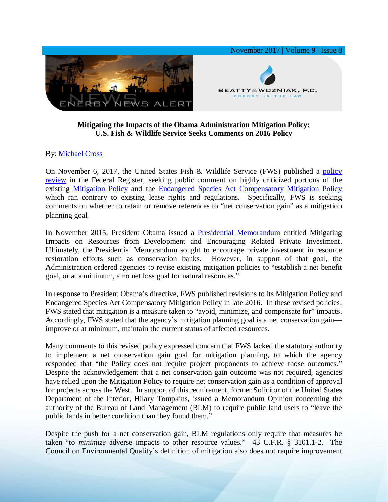

## **Mitigating the Impacts of the Obama Administration Mitigation Policy: U.S. Fish & Wildlife Service Seeks Comments on 2016 Policy**

## By: [Michael Cross](https://www.bwenergylaw.com/michael-cross)

On November 6, 2017, the United States Fish & Wildlife Service (FWS) published a [policy](https://www.gpo.gov/fdsys/pkg/FR-2017-11-06/pdf/2017-23965.pdf)  [review](https://www.gpo.gov/fdsys/pkg/FR-2017-11-06/pdf/2017-23965.pdf) in the Federal Register, seeking public comment on highly criticized portions of the existing [Mitigation Policy](https://www.gpo.gov/fdsys/pkg/FR-2016-11-21/pdf/2016-27751.pdf) and the [Endangered Species Act Compensatory Mitigation Policy](https://www.gpo.gov/fdsys/pkg/FR-2016-12-27/pdf/2016-30929.pdf) which ran contrary to existing lease rights and regulations. Specifically, FWS is seeking comments on whether to retain or remove references to "net conservation gain" as a mitigation planning goal.

In November 2015, President Obama issued a [Presidential Memorandum](https://obamawhitehouse.archives.gov/the-press-office/2015/11/03/mitigating-impacts-natural-resources-development-and-encouraging-related) entitled Mitigating Impacts on Resources from Development and Encouraging Related Private Investment. Ultimately, the Presidential Memorandum sought to encourage private investment in resource restoration efforts such as conservation banks. However, in support of that goal, the Administration ordered agencies to revise existing mitigation policies to "establish a net benefit goal, or at a minimum, a no net loss goal for natural resources."

In response to President Obama's directive, FWS published revisions to its Mitigation Policy and Endangered Species Act Compensatory Mitigation Policy in late 2016. In these revised policies, FWS stated that mitigation is a measure taken to "avoid, minimize, and compensate for" impacts. Accordingly, FWS stated that the agency's mitigation planning goal is a net conservation gain improve or at minimum, maintain the current status of affected resources.

Many comments to this revised policy expressed concern that FWS lacked the statutory authority to implement a net conservation gain goal for mitigation planning, to which the agency responded that "the Policy does not require project proponents to achieve those outcomes." Despite the acknowledgement that a net conservation gain outcome was not required, agencies have relied upon the Mitigation Policy to require net conservation gain as a condition of approval for projects across the West. In support of this requirement, former Solicitor of the United States Department of the Interior, Hilary Tompkins, issued a Memorandum Opinion concerning the authority of the Bureau of Land Management (BLM) to require public land users to "leave the public lands in better condition than they found them."

Despite the push for a net conservation gain, BLM regulations only require that measures be taken "to *minimize* adverse impacts to other resource values." 43 C.F.R. § 3101.1-2. The Council on Environmental Quality's definition of mitigation also does not require improvement